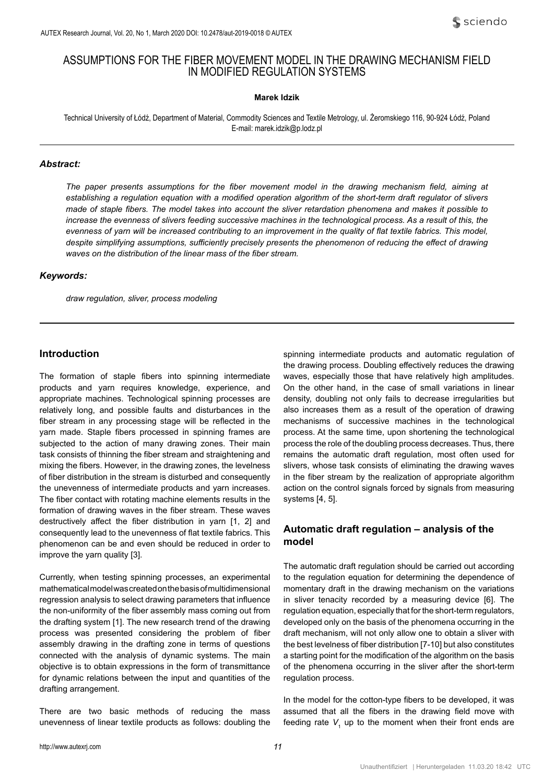# ASSUMPTIONS FOR THE FIBER MOVEMENT MODEL IN THE DRAWING MECHANISM FIELD IN MODIFIED REGULATION SYSTEMS

### **Marek Idzik**

Technical University of Łódź, Department of Material, Commodity Sciences and Textile Metrology, ul. Żeromskiego 116, 90-924 Łódź, Poland E-mail: marek.idzik@p.lodz.pl

#### *Abstract:*

*The paper presents assumptions for the fiber movement model in the drawing mechanism field, aiming at establishing a regulation equation with a modified operation algorithm of the short-term draft regulator of slivers made of staple fibers. The model takes into account the sliver retardation phenomena and makes it possible to*  increase the evenness of slivers feeding successive machines in the technological process. As a result of this, the *evenness of yarn will be increased contributing to an improvement in the quality of flat textile fabrics. This model, despite simplifying assumptions, sufficiently precisely presents the phenomenon of reducing the effect of drawing waves on the distribution of the linear mass of the fiber stream.*

#### *Keywords:*

*draw regulation, sliver, process modeling*

## **Introduction**

The formation of staple fibers into spinning intermediate products and yarn requires knowledge, experience, and appropriate machines. Technological spinning processes are relatively long, and possible faults and disturbances in the fiber stream in any processing stage will be reflected in the yarn made. Staple fibers processed in spinning frames are subjected to the action of many drawing zones. Their main task consists of thinning the fiber stream and straightening and mixing the fibers. However, in the drawing zones, the levelness of fiber distribution in the stream is disturbed and consequently the unevenness of intermediate products and yarn increases. The fiber contact with rotating machine elements results in the formation of drawing waves in the fiber stream. These waves destructively affect the fiber distribution in yarn [1, 2] and consequently lead to the unevenness of flat textile fabrics. This phenomenon can be and even should be reduced in order to improve the yarn quality [3].

Currently, when testing spinning processes, an experimental mathematical model was created on the basis of multidimensional regression analysis to select drawing parameters that influence the non-uniformity of the fiber assembly mass coming out from the drafting system [1]. The new research trend of the drawing process was presented considering the problem of fiber assembly drawing in the drafting zone in terms of questions connected with the analysis of dynamic systems. The main objective is to obtain expressions in the form of transmittance for dynamic relations between the input and quantities of the drafting arrangement.

There are two basic methods of reducing the mass unevenness of linear textile products as follows: doubling the

spinning intermediate products and automatic regulation of the drawing process. Doubling effectively reduces the drawing waves, especially those that have relatively high amplitudes. On the other hand, in the case of small variations in linear density, doubling not only fails to decrease irregularities but also increases them as a result of the operation of drawing mechanisms of successive machines in the technological process. At the same time, upon shortening the technological process the role of the doubling process decreases. Thus, there remains the automatic draft regulation, most often used for slivers, whose task consists of eliminating the drawing waves in the fiber stream by the realization of appropriate algorithm action on the control signals forced by signals from measuring systems [4, 5].

# **Automatic draft regulation – analysis of the model**

The automatic draft regulation should be carried out according to the regulation equation for determining the dependence of momentary draft in the drawing mechanism on the variations in sliver tenacity recorded by a measuring device [6]. The regulation equation, especially that for the short-term regulators, developed only on the basis of the phenomena occurring in the draft mechanism, will not only allow one to obtain a sliver with the best levelness of fiber distribution [7-10] but also constitutes a starting point for the modification of the algorithm on the basis of the phenomena occurring in the sliver after the short-term regulation process.

In the model for the cotton-type fibers to be developed, it was assumed that all the fibers in the drawing field move with feeding rate  $V$ <sub>1</sub> up to the moment when their front ends are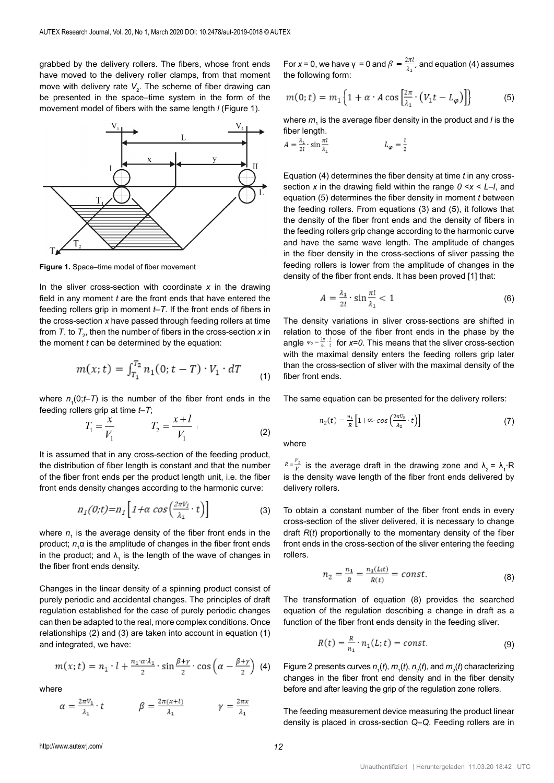grabbed by the delivery rollers. The fibers, whose front ends have moved to the delivery roller clamps, from that moment move with delivery rate  $V_{2}$ . The scheme of fiber drawing can be presented in the space–time system in the form of the movement model of fibers with the same length *l* (Figure 1).



**Figure 1.** Space–time model of fiber movement

In the sliver cross-section with coordinate *x* in the drawing field in any moment *t* are the front ends that have entered the feeding rollers grip in moment *t–T*. If the front ends of fibers in the cross-section *x* have passed through feeding rollers at time from  $\mathcal{T}_{_{1}}$  to  $\mathcal{T}_{_{2}}$ , then the number of fibers in the cross-section  $x$  in the moment  $t$  can be determined by the equation:

$$
m(x;t) = \int_{T_1}^{T_2} n_1(0;t - T) \cdot V_1 \cdot dT \tag{1}
$$

where  $n_{\text{\tiny 1}}\text{(0;}t\text{-}T\text{)}$  is the number of the fiber front ends in the feeding rollers grip at time *t–T*;

$$
T_1 = \frac{x}{V_1} \qquad T_2 = \frac{x+l}{V_1} \qquad (2)
$$

It is assumed that in any cross-section of the feeding product, the distribution of fiber length is constant and that the number of the fiber front ends per the product length unit, i.e. the fiber front ends density changes according to the harmonic curve:

$$
n_1(0;t) = n_1 \left[ 1 + \alpha \cos\left(\frac{2\pi V_1}{\lambda_1} \cdot t\right) \right]
$$
 (3)

where  $n<sub>1</sub>$  is the average density of the fiber front ends in the product; *n*<sub>1</sub>α is the amplitude of changes in the fiber front ends in the product; and  $\lambda_{_1}$  is the length of the wave of changes in the fiber front ends density.

Changes in the linear density of a spinning product consist of<br>purely periodic and accidental changes. The principles of draft The transformati purely periodic and accidental changes. The principles of draft a The tran regulation established for the case of purely periodic changes can then be adapted to the real, more complex conditions. Once relationships (2) and (3) are taken into account in equation (1) and integrated, we have:

$$
m(x; t) = n_1 \cdot l + \frac{n_1 \cdot \alpha \cdot \lambda_1}{2} \cdot \sin \frac{\beta + \gamma}{2} \cdot \cos \left(\alpha - \frac{\beta + \gamma}{2}\right) \tag{4}
$$

where

$$
\alpha = \frac{2\pi V_1}{\lambda_1} \cdot t \qquad \qquad \beta = \frac{2\pi (x+1)}{\lambda_1} \qquad \qquad \gamma = \frac{2\pi x}{\lambda_1}
$$

For *x* = 0, we have γ = 0 and  $β = \frac{2πl}{λ_1}$ , and equation (4) assumes the following form:

$$
m(0; t) = m_1 \left\{ 1 + \alpha \cdot A \cos \left[ \frac{2\pi}{\lambda_1} \cdot \left( V_1 t - L_\varphi \right) \right] \right\}
$$
 (5)

where  $m_{_1}$  is the average fiber density in the product and *l* is the fiber length.

$$
A = \frac{\lambda_1}{2l} \cdot \sin \frac{\pi l}{\lambda_1} \qquad L_\varphi = \frac{l}{2}
$$

Equation (4) determines the fiber density at time *t* in any crosssection *x* in the drawing field within the range *0* <*x* < *L–l*, and equation (5) determines the fiber density in moment *t* between the feeding rollers. From equations (3) and (5), it follows that the density of the fiber front ends and the density of fibers in the feeding rollers grip change according to the harmonic curve and have the same wave length. The amplitude of changes in the fiber density in the cross-sections of sliver passing the feeding rollers is lower from the amplitude of changes in the density of the fiber front ends. It has been proved [1] that:

$$
A = \frac{\lambda_1}{2l} \cdot \sin \frac{\pi l}{\lambda_1} < 1 \tag{6}
$$

The density variations in sliver cross-sections are shifted in relation to those of the fiber front ends in the phase by the angle  $\varphi_0 = \frac{2\pi}{\lambda_1} \frac{1}{2}$  for x=0. This means that the sliver cross-section with the maximal density enters the feeding rollers grip later than the cross-section of sliver with the maximal density of the fiber front ends.

The same equation can be presented for the delivery rollers:

$$
n_2(t) = \frac{n_1}{R} \left[ 1 + \alpha \cdot \cos\left(\frac{2\pi v_2}{\lambda_2} \cdot t\right) \right] \tag{7}
$$

where

 $R = \frac{V_2}{V_1}$  is the average draft in the drawing zone and  $\lambda_2 = \lambda_1 \cdot R$ is the density wave length of the fiber front ends delivered by delivery rollers.

To obtain a constant number of the fiber front ends in every cross-section of the sliver delivered, it is necessary to change draft *R*(*t*) proportionally to the momentary density of the fiber front ends in the cross-section of the sliver entering the feeding rollers.

$$
n_2 = \frac{n_1}{R} = \frac{n_1(L; t)}{R(t)} = const.
$$
 (8)

The transformation of equation (8) provides the searched equation of the regulation describing a change in draft as a function of the fiber front ends density in the feeding sliver.

$$
R(t) = \frac{R}{n_1} \cdot n_1(L; t) = const.
$$
\n(9)

) Figure 2 presents curves  $n_{1}(t)$ ,  $m_{1}(t)$ ,  $n_{2}(t)$ , and  $m_{2}(t)$  characterizing changes in the fiber front end density and in the fiber density before and after leaving the grip of the regulation zone rollers.

The feeding measurement device measuring the product linear density is placed in cross-section *Q–Q*. Feeding rollers are in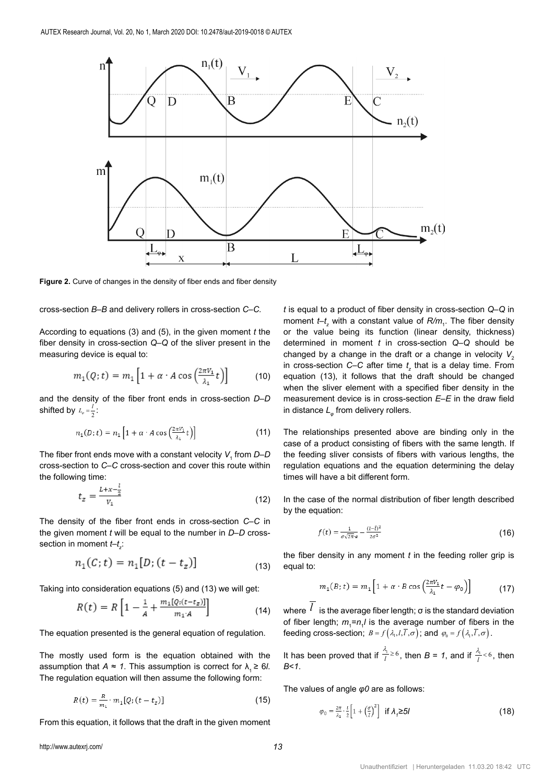

**Figure 2.** Curve of changes in the density of fiber ends and fiber density

cross-section *B–B* and delivery rollers in cross-section *C–C.*

According to equations (3) and (5), in the given moment *t* the fiber density in cross-section *Q–Q* of the sliver present in the measuring device is equal to:

$$
m_1(Q; t) = m_1 \left[ 1 + \alpha \cdot A \cos \left( \frac{2\pi V_1}{\lambda_1} t \right) \right] \tag{10}
$$

and the density of the fiber front ends in cross-section *D–D* shifted by  $L_{\varphi} = \frac{l}{2}$ :

$$
n_1(D;t) = n_1 \left[ 1 + \alpha \cdot A \cos \left( \frac{2\pi V_1}{\lambda_1} t \right) \right] \tag{11}
$$

The fiber front ends move with a constant velocity *V*<sup>1</sup> from *D–D* cross-section to *C–C* cross-section and cover this route within the following time:

$$
t_z = \frac{L + x - \frac{1}{2}}{V_1}
$$
 (12)

The density of the fiber front ends in cross-section *C–C* in the given moment *t* will be equal to the number in *D–D* crosssection in moment *t–t<sub>z</sub>*:

$$
n_1(C; t) = n_1[D; (t - t_z)] \tag{13}
$$

Taking into consideration equations (5) and (13) we will get:

$$
R(t) = R \left[ 1 - \frac{1}{A} + \frac{m_1[Q_1(t - t_z)]}{m_1 A} \right]
$$
 (14)

The equation presented is the general equation of regulation.

The mostly used form is the equation obtained with the assumption that  $A \approx 1$ . This assumption is correct for  $\lambda_1 \geq 6l$ . The regulation equation will then assume the following form:

$$
R(t) = \frac{R}{m_1} \cdot m_1[Q; (t - t_z)] \tag{15}
$$

From this equation, it follows that the draft in the given moment

*t* is equal to a product of fiber density in cross-section *Q–Q* in moment *t–t<sub>z</sub>* with a constant value of *R/m*<sub>1</sub>. The fiber density or the value being its function (linear density, thickness) determined in moment *t* in cross-section *Q–Q* should be changed by a change in the draft or a change in velocity  $V_2$ in cross-section *C–C* after time  $t_z$  that is a delay time. From equation (13), it follows that the draft should be changed when the sliver element with a specified fiber density in the measurement device is in cross-section *E–E* in the draw field in distance  $L_{\varphi}$  from delivery rollers.

The relationships presented above are binding only in the case of a product consisting of fibers with the same length. If the feeding sliver consists of fibers with various lengths, the regulation equations and the equation determining the delay times will have a bit different form.

In the case of the normal distribution of fiber length described by the equation:

$$
f(t) = \frac{1}{\sigma\sqrt{2\pi}e} - \frac{(1-\bar{I})^2}{2\sigma^2}
$$
 (16)

the fiber density in any moment *t* in the feeding roller grip is equal to:

$$
m_1(B; t) = m_1 \left[ 1 + \alpha \cdot B \cos \left( \frac{2\pi V_1}{\lambda_1} t - \varphi_0 \right) \right]
$$
(17)

where  $l$  is the average fiber length;  $\sigma$  is the standard deviation of fiber length;  $m_1 = n_1 l$  is the average number of fibers in the feeding cross-section;  $B = f(\lambda_1, l, l, \overline{l}, \sigma)$ ; and  $\varphi_0 = f(\lambda_1, l, \overline{l}, \sigma)$ .

It has been proved that if  $\frac{\lambda_1}{l} \ge 6$ , then  $B = 1$ , and if  $\frac{\lambda_1}{l} < 6$ , then *B*<*1*.

The values of angle *φ0* are as follows:

$$
\varphi_0 = \frac{2\pi}{\lambda_1} \cdot \frac{1}{2} \left[ 1 + \left( \frac{\sigma}{l} \right)^2 \right] \text{ if } \lambda_j \ge 5l \tag{18}
$$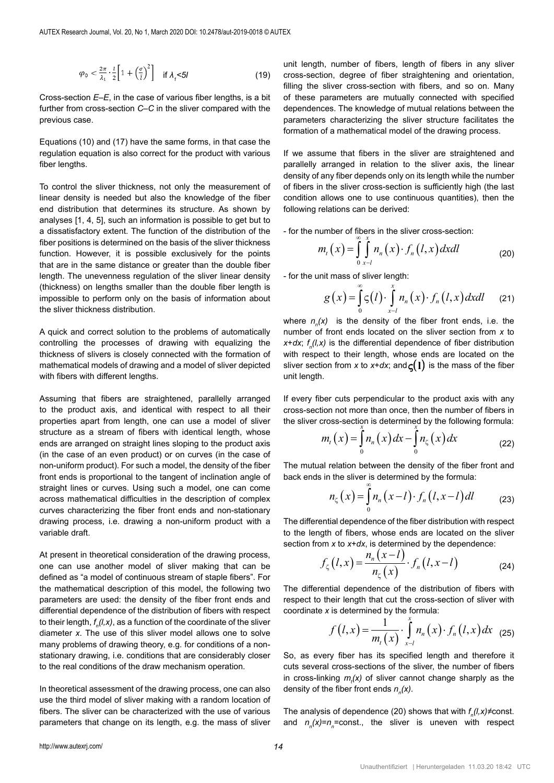$$
\varphi_0 < \frac{2\pi}{\lambda_1} \cdot \frac{1}{2} \left[ 1 + \left( \frac{\sigma}{\overline{l}} \right)^2 \right] \quad \text{if } \lambda_j < 5l \tag{19}
$$

Cross-section *E–E*, in the case of various fiber lengths, is a bit further from cross-section *C–C* in the sliver compared with the previous case.

Equations (10) and (17) have the same forms, in that case the regulation equation is also correct for the product with various fiber lengths.

To control the sliver thickness, not only the measurement of linear density is needed but also the knowledge of the fiber end distribution that determines its structure. As shown by analyses [1, 4, 5], such an information is possible to get but to a dissatisfactory extent. The function of the distribution of the fiber positions is determined on the basis of the sliver thickness function. However, it is possible exclusively for the points that are in the same distance or greater than the double fiber length. The unevenness regulation of the sliver linear density (thickness) on lengths smaller than the double fiber length is impossible to perform only on the basis of information about the sliver thickness distribution.

A quick and correct solution to the problems of automatically controlling the processes of drawing with equalizing the thickness of slivers is closely connected with the formation of mathematical models of drawing and a model of sliver depicted with fibers with different lengths.

Assuming that fibers are straightened, parallelly arranged to the product axis, and identical with respect to all their properties apart from length, one can use a model of sliver structure as a stream of fibers with identical length, whose ends are arranged on straight lines sloping to the product axis (in the case of an even product) or on curves (in the case of non-uniform product). For such a model, the density of the fiber front ends is proportional to the tangent of inclination angle of straight lines or curves. Using such a model, one can come across mathematical difficulties in the description of complex curves characterizing the fiber front ends and non-stationary drawing process, i.e. drawing a non-uniform product with a variable draft.

At present in theoretical consideration of the drawing process, one can use another model of sliver making that can be defined as "a model of continuous stream of staple fibers". For the mathematical description of this model, the following two parameters are used: the density of the fiber front ends and differential dependence of the distribution of fibers with respect to their length, *f n (l,x)*, as a function of the coordinate of the sliver diameter *x*. The use of this sliver model allows one to solve many problems of drawing theory, e.g. for conditions of a nonstationary drawing, i.e. conditions that are considerably closer to the real conditions of the draw mechanism operation.

In theoretical assessment of the drawing process, one can also use the third model of sliver making with a random location of fibers. The sliver can be characterized with the use of various parameters that change on its length, e.g. the mass of sliver unit length, number of fibers, length of fibers in any sliver cross-section, degree of fiber straightening and orientation, filling the sliver cross-section with fibers, and so on. Many of these parameters are mutually connected with specified dependences. The knowledge of mutual relations between the parameters characterizing the sliver structure facilitates the formation of a mathematical model of the drawing process.

If we assume that fibers in the sliver are straightened and<br>parallelly arranged in relation to the sliver axis, the linear If we assume that libers in the sliver are straightened and<br>parallelly arranged in relation to the sliver axis, the linear If we assume that fibers in the sliver are straightened and<br>parallelly arranged in relation to the sliver axis, the linear<br>density of any fiber depends only on its length while the number of fibers in the sliver cross-section is sufficiently high (the last condition allows one to use continuous quantities), then the condition allows one to use continuous quantities), then the 0 following relations can be derived: 1 2 *l* in the sliver cross-section is sufficiently high<br>allows one to use continuous quantities),<br>relations can be derived: *alations can be derived:*<br>
and *i a m m i a i x a i x i x a i x a i x a i x a i x a i x a i x a i x a i x a i x a i x a i x a i* 

- for the number of fibers in the sliver cross-section:<br> $\int_{-\infty}^{\infty}$  *x* 

number of fibers in the sliver cross-section:  
\n
$$
m_{t}(x) = \int_{0}^{\infty} \int_{x-l}^{x} n_{n}(x) \cdot f_{n}(l, x) dxdl
$$
\n
$$
m_{t}(\text{mass of sliver length:})
$$
\n(20)

- for the unit mass of sliver length:<br> $\infty$  x

$$
g(x) = \int_{0}^{\infty} \zeta(l) \cdot \int_{x-l}^{x} n_n(x) \cdot f_n(l,x) dx dl \qquad (21)
$$

number of front ends located on the sliver section from *x* to <br>*x+dx* f ((x) is the differential dependence of fiber distribution  $\overline{\phantom{0}}$ where  $n_n(x)$  is the density of the fiber front ends, i.e. the <br>  $\frac{1}{n}$  is the density of the sliver eastern from what *n n*  $x + dx$ ;  $f_n(l, x)$  is the differential dependence of fiber distribution *x x m x n x dx n x dx t n* = − (22) with respect to their length, whose ends are located on the unit mass of the unit mass of the unit mass of sliver in the unit mass of the unit mass of sliver unit mass of the unit mass of the unit mass of the unit mass of sliver section from *x* to *x*+*dx*; and  $\varsigma(1)$  is the mass of the fiber unit length.  $\mathcal{L}=\mathcal{L}^2$  , we have the set of  $\mathcal{L}^2$ 

cuts perpendicular to the produc<br>not more than anea, than the nun the sliver cross-section is determined by the following formula: If every fiber cuts perpendicular to the product axis with any<br>cross-section not more than once, then the number of fibers in If every fiber cuts perpendicular to the product axis with any  $\cdot$ , *n n*  $\ddot{\ }$ *g x l n x f l x dxdl* perpendicular to the product axis with any *i*nn in de± , *get cuts perpendicular to the product axis*<br>*ion not more than ange than the number*  $\overline{\phantom{0}}$ *n n* perpendicular to the product axis with any

$$
m_t(x) = \int_0^x n_n(x) dx - \int_0^x n_\zeta(x) dx
$$
 (22)  
The mutual relation between the density of the fiber front and

0<br>al relation between the density of the fiber front

back ends in the sliver is determined by the formula:  
\n
$$
n_{\zeta}(x) = \int_{0}^{\infty} n_{n}(x-l) \cdot f_{n}(l,x-l) dl
$$
\n(23)

(*I*) the of fibers, whose ends are located on the *x* to *x*+*dx*, is determined by the dependence *x* and the length of fibers, whose ends are located on the sliver *m* x to x+dx, is determined by the dependence:<br>  $n_x(x - l)$ f fibers, whose ends are located on the s<br>
o x+*dx*, is determined by the dependence:<br>  $r$ ) –  $\frac{n_n(x-l)}{l}$ . *f* (1  $r-l$ ) section from *x* to *x*+*dx*, is determined by the dependence:<br>  $f(t, x) = \frac{n_n(x - l)}{r} f(t, x - l)$  $\frac{1}{2}$  or  $\frac{1}{2}$  or  $\frac{1}{2}$  and the fiber distribution with respect *f*  $f(x)$  *f*  $f(x)$  *f*  $f(x)$  *f*  $f(x)$  *f*  $f(x)$  *f*  $f(x)$  *f*  $f(x)$  *f*  $f(x)$  *f*  $f(x)$  *f*  $f(x)$  *f*  $f(x)$  *f*  $f(x)$  *f*  $f(x)$  *f*  $f(x)$  *f*  $f(x)$  *f*  $f(x)$  *f*  $f(x)$  *f*  $f(x)$  *f*  $f(x)$  *f*  $f(x)$  *f*  $f(x)$  *f*  $f(x)$ 

$$
f_{\zeta}(l,x) = \frac{n_n(x-l)}{n_{\zeta}(x)} \cdot f_n(l,x-l) \tag{24}
$$

 $J_{\zeta}(l, x) = \frac{J_{\zeta}(l, x)}{n_{\zeta}(x)} \cdot J_n(l, x-l)$  (24)<br>The differential dependence of the distribution of fibers with<br>respect to their length that cut the cross-section of sliver with " I he differential dependence of the distribution of fibers with<br>respect to their length that cut the cross-section of sliver with 0 *n x* coordinate *x* is determined by the formula:

$$
f(l,x) = \frac{1}{m_t(x)} \cdot \int_{x-l}^{x} n_n(x) \cdot f_n(l,x) dx
$$
 (25)  
every fiber has its specified length and therefore it

 $m_t(x)$  of sliver ver cannot change sharply as the<br>Is *n<sub>n</sub>(x).* Fran cross-sections of the silver, the humber of libers<br>
linking  $m_i(x)$  of sliver cannot change sharply as the<br>
f the fiber front ends  $n_i(x)$ . *n n*  $m_n$ ,  $m_n$ ,  $n_n$ ,  $n_n$ ,  $n_n$ ,  $n_n$ ,  $n_n$ ,  $n_n$ ,  $n_n$ ,  $n_n$ ,  $n_n$ ,  $n_n$ ,  $n_n$ ,  $n_n$ ,  $n_n$ ,  $n_n$ ,  $n_n$ ,  $n_n$ ,  $n_n$ ,  $n_n$ ,  $n_n$ ,  $n_n$ ,  $n_n$ ,  $n_n$ ,  $n_n$ ,  $n_n$ ,  $n_n$ ,  $n_n$ ,  $n_n$ ,  $n_n$ ,  $n_n$ ,  $n_n$ ,  $n_n$ ,  $n_n$ ,  $n_n$ ,  $n_n$ ,  $n_n$ , cuts several cross-sections of the sliver, the number of fibers  $\mathcal{H}$  )  $_{x-l}$ <br>specified length and therefore it  $\sum_{n=1}^{\infty}$  1 ( )  $\sum_{n=1}^{\infty}$  1 ( )  $\sum_{n=1}^{\infty}$ r cannot change sharply as tl<br>*n<sub>n</sub>(x).* ral cross-sections of the silver, the number of libers<br>nking  $m_l(x)$  of sliver cannot change sharply as the<br>the fiber front ends  $n_s(x)$ . density of the fiber front ends  $n_{n}(x)$ .  $(x)$ .<br>(x).  $m_f(x)$  of sliver cannot change sharply as the e fiber front ends  $n_n(x)$ . (*x*) of sliver cannot change sharply as the contends  $n_n(x)$ .  $m_t(x)$ <sub>*x*−*l*</sub><br>So, as every fiber has its specified length and therefore it  $n_n(x)$ .  $\frac{1}{2}$  =  $\frac{1}{2}$  (26). cannot change sharply as the  $(x)$ . in cross-linking  $m_t(x)$  of sliver cannot change sharply as the density of the fiber front ends  $n_n(x)$ .

 $\begin{array}{ccc} & & \cdot & \\ \hline & & & \end{array}$ and  $n_n(x)=n_n$ =const., the sliver is uneven with respect  $n_n(x)=n_n(x)$ *g* = − (28) = − (28) = − (28) = − (28) = − (28) = (28) = (28) = (28) = (28) = (28) = (28) = (28) = (28) = (28) = (28) = (28) = (28) = (28) = (28) = (28) = (28) = (28) = (28) = (28) = (28) = (28) = (28) = (28) = (28) = (2 density of the fiber front ends *n<sub>n</sub>*(*x*).<br>The analysis of dependence (20) shows that with *f<sub>n</sub>(l,x)≠*const. <sup>−</sup> = = − (27)  $\sum_{i=1}^{n}$ <sup>1</sup> <sup>1</sup> *pl G*<sub>n</sub> bond;, the enver is different with respect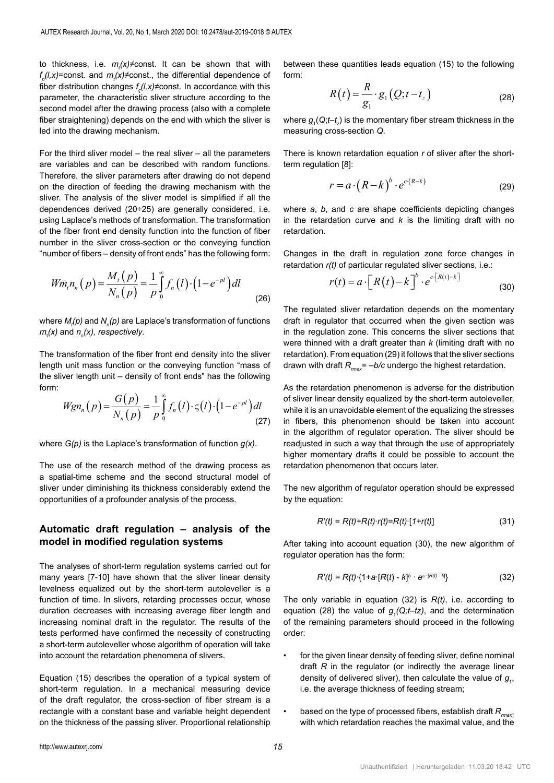to thickness, i.e. *m<sub>t</sub>(x)≠*const. It can be shown that with  $f_{n}(l,x)$ =const. and  $m_{t}(x)$ ≠const., the differential dependence of fiber distribution changes  $f<sub>s</sub>(l,x) \neq \text{const}$ . In accordance with this parameter, the characteristic sliver structure according to the<br>cosend model after the drawing presess (also with a semplate parameter, the characteristic sliver structure according to the<br>second model after the drawing process (also with a complete fiber straightening) depends on the end with which the sliver is 0 led into the drawing mechanism.<br>——————————————————— *m x n x dx n x dx t n* = − (22) 197 acponas or

For the third sliver model – the real sliver – all the parameters<br>are variables and can be described with random functions. are variables and can be described with random functions. Therefore, the sliver parameters after drawing do not depend necessite, the street parameters after drawing as not depend<br>on the direction of feeding the drawing mechanism with the sliver. The analysis of the sliver model is simplified if all the dependences derived (20÷25) are generally considered, i.e. using Laplace's methods of transformation. The transformation *x nxl* using Lapiace s methods of transformation. The transformation<br>of the fiber front end density function into the function of fiber<br>number in the sliver cross-section or the conveying function number in the sliver cross-section or the conveying function number in the sliver cross-section or the conveying function "number of fibers – density of front ends" has the following form: *nxl fhe third sliver model* – the real sliver – all the *the sliver cross* 

$$
Wm_{t}n_{n}(p) = \frac{M_{t}(p)}{N_{n}(p)} = \frac{1}{p} \int_{0}^{\infty} f_{n}(l) \cdot (1 - e^{-pl}) dl
$$
\n(26)

 $m_t(x)$  and  $n_n(x)$ , respectively.<br>in  $m_t(x)$  and  $n_n(x)$ , respectively.  $($  extively. (26)<br>
where *M<sub>t</sub>(p)* and *N<sub>n</sub>(p)* are Laplace's transformation of functions<br> *m<sub>t</sub>(x)* and *n<sub>n</sub>(x), respectively. n n*

→<br>The transformation of the fiber front end density into the sliver re<br>length unit mass function or the conveying function "mass of dı  $\overline{\phantom{a}}$ the sliver length unit – density of front ends" has the following<br>form:<br> $G(n) = 1 \times \$ I ne transformation of the fiber front end density into the sliver<br>length unit mass function or the conveying function "mass of form: *n*

$$
Wgn_n(p) = \frac{G(p)}{N_n(p)} = \frac{1}{p} \int_0^\infty f_n(l) \cdot \varsigma(l) \cdot \left(1 - e^{-pl}\right) dl \quad \text{with} \quad \text{(27)}
$$

where *G(p)* is the Laplace's transformation of function *g(x)*.

The use of the research method of the drawing process as *shver under unminisming its unckriess considerably e.*<br>opportunities of a profounder analysis of the process. a spatial-time scheme and the second structural model of sliver under diminishing its thickness considerably extend the

## **Automatic draft regulation – analysis of the model in modified regulation systems**

The analyses of short-term regulation systems carried out for many years [7-10] have shown that the sliver linear density levelness equalized out by the short-term autoleveller is a function of time. In slivers, retarding processes occur, whose duration decreases with increasing average fiber length and increasing nominal draft in the regulator. The results of the tests performed have confirmed the necessity of constructing a short-term autoleveller whose algorithm of operation will take into account the retardation phenomena of slivers.

Equation (15) describes the operation of a typical system of short-term regulation. In a mechanical measuring device of the draft regulator, the cross-section of fiber stream is a rectangle with a constant base and variable height dependent on the thickness of the passing sliver. Proportional relationship

between these quantities leads equation (15) to the following form:

$$
R(t) = \frac{R}{g_1} \cdot g_1(Q; t - t_z)
$$
 (28)

*b*  $\frac{1}{2}$   $\frac{1}{2}$   $\frac{1}{2}$   $\frac{1}{2}$   $\frac{1}{2}$   $\frac{1}{2}$   $\frac{1}{2}$   $\frac{1}{2}$   $\frac{1}{2}$   $\frac{1}{2}$   $\frac{1}{2}$   $\frac{1}{2}$   $\frac{1}{2}$   $\frac{1}{2}$   $\frac{1}{2}$   $\frac{1}{2}$   $\frac{1}{2}$   $\frac{1}{2}$   $\frac{1}{2}$   $\frac{1}{2}$   $\frac{1}{2}$   $\frac{1}{2}$ where  $g_{\scriptscriptstyle 1\!}(Q; t\!-\!t_{\scriptscriptstyle 2\!})$  is the momentary fiber stream thickness in the measuring cross-section Q.  $($   $)$   $($   $)$   $($   $)$   $($   $)$   $($   $)$   $($   $)$   $($   $)$   $($   $)$   $($   $)$   $($   $)$   $($   $)$   $($   $)$   $($   $)$   $($   $)$   $($   $)$   $($   $)$   $($   $)$   $($   $)$   $($   $)$   $($   $)$   $($   $)$   $($   $)$   $($   $)$   $($   $)$   $($   $)$   $($   $)$   $($   $)$   $($ 

There is known retardation equation *r* of sliver after the short-1 *<sup>g</sup>* = − (28) term regulation [8]:

$$
r = a \cdot (R - k)^b \cdot e^{c(R - k)}
$$
 (29)

where *a*, *b*, and *c* are shape coefficients depicting changes in the retardation curve and *k* is the limiting draft with no retardation.

Changes in the draft in regulation zone force changes in retardation *r(t)* of particular regulated sliver sections, i.e.:

$$
r(t) = a \cdot \left[R(t) - k\right]^{b} \cdot e^{c\left[R(t) - k\right]}
$$
\n(30)

draft in regulator that occurred when the given section was<br>in the geometric graps. This concerns the gliven sections that retardation). From equation (29) it follows that the sliver sections<br>drawn with draft  $R_{\it max}$  = –b/c undergo the highest retardation. The regulated sliver retardation depends on the momentary in the regulation zone. This concerns the sliver sections that were thinned with a draft greater than *k* (limiting draft with no retardation). From equation (29) it follows that the sliver sections

of sliver linear density equalized by the short-term autoleveller,<br>while it is an unavoidable element of the equalizing the stresses As the retardation phenomenon is adverse for the distribution while it is an unavoidable element of the equalizing the stresses in fibers, this phenomenon should be taken into account in the algorithm of regulator operation. The sliver should be readjusted in such a way that through the use of appropriately higher momentary drafts it could be possible to account the retardation phenomenon that occurs later.

The new algorithm of regulator operation should be expressed by the equation:

$$
R'(t) = R(t) + R(t) \cdot r(t) = R(t) \cdot [1 + r(t)] \tag{31}
$$

After taking into account equation (30), the new algorithm of regulator operation has the form:

$$
R'(t) = R(t) \cdot \{1 + a \cdot [R(t) - k]^b \cdot e^{c \cdot [R(t) - k]}\}
$$
 (32)

The only variable in equation (32) is *R(t)*, i.e. according to equation (28) the value of  $g_1(Q; t-tz)$ , and the determination of the remaining parameters should proceed in the following order:

- for the given linear density of feeding sliver, define nominal draft *R* in the regulator (or indirectly the average linear density of delivered sliver), then calculate the value of  $g<sub>1</sub>$ , i.e. the average thickness of feeding stream;
- based on the type of processed fibers, establish draft  $R_{max}$ , with which retardation reaches the maximal value, and the